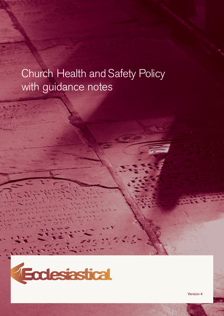# Church Health and Safety Policy with guidance notes



Version 4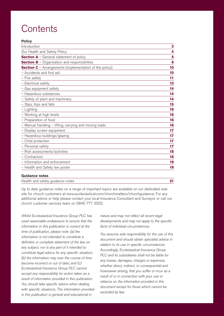## **Contents**

| ×<br>v | × |  |
|--------|---|--|

| Introduction                                                   | 3  |
|----------------------------------------------------------------|----|
| Our Health and Safety Policy                                   | 4  |
| <b>Section A</b> – General statement of policy                 | 5  |
| <b>Section B</b> - Organisation and responsibilities           | 6  |
| <b>Section C</b> - Arrangements (implementation of the policy) | 10 |
| - Accidents and first aid                                      | 10 |
| - Fire safety                                                  | 11 |
| - Electrical safety                                            | 13 |
| - Gas equipment safety                                         | 14 |
| - Hazardous substances                                         | 14 |
| - Safety of plant and machinery                                | 14 |
| - Slips, trips and falls                                       | 15 |
| - Lighting                                                     | 16 |
| - Working at high levels                                       | 16 |
| - Preparation of food                                          | 16 |
| - Manual handling - lifting, carrying and moving loads         | 16 |
| - Display screen equipment                                     | 17 |
| - Hazardous buildings/glazing                                  | 17 |
| - Child protection                                             | 17 |
| - Personal safety                                              | 17 |
| - Risk assessments/activities                                  | 18 |
| - Contractors                                                  | 18 |
| - Information and enforcement                                  | 19 |
| - Health and Safety law poster                                 | 19 |

#### **Guidance notes**

| Health and safety guidance notes |  |  |
|----------------------------------|--|--|
|                                  |  |  |

Up to date guidance notes on a range of important topics are available on our dedicated web site for church customers at www.ecclesiastical.com/churchmatters/churchguidance. For any additional advice or help please contact your local Insurance Consultant and Surveyor or call our church customer services team on 0845 777 3322.

Whilst Ecclesiastical Insurance Group PLC has used reasonable endeavours to ensure that the information in this publication is correct at the time of publication, please note: (a) the information is not intended to constitute a definitive or complete statement of the law on any subject, nor is any part of it intended to constitute legal advice for any specific situation; (b) the information may over the course of time become incorrect or out of date; and (c) Ecclesiastical Insurance Group PLC cannot accept any responsibility for action taken as a result of information provided in this publication. You should take specific advice when dealing with specific situations. The information provided in this publication is general and educational in

nature and may not reflect all recent legal developments and may not apply to the specific facts of individual circumstances.

You assume sole responsibility for the use of this document and should obtain specialist advice in relation to its use in specific circumstances. Accordingly, Ecclesiastical Insurance Group PLC and its subsidiaries shall not be liable for any losses, damages, charges or expenses, whether direct, indirect, or consequential and howsoever arising, that you suffer or incur as a result of or in connection with your use or reliance on the information provided in this document except for those which cannot be excluded by law.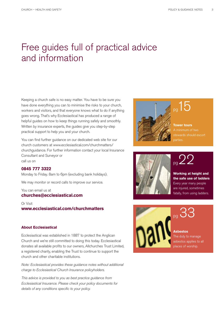## Free guides full of practical advice and information

Keeping a church safe is no easy matter. You have to be sure you have done everything you can to minimise the risks to your church, workers and visitors, and that everyone knows what to do if anything goes wrong. That's why Ecclesiastical has produced a range of helpful guides on how to keep things running safely and smoothly. Written by insurance experts, the guides give you step-by-step practical support to help you and your church.

You can find further guidance on our dedicated web site for our church customers at www.ecclesiastical.com/churchmatters/ churchguidance. For further information contact your local Insurance Consultant and Surveyor or call us on

#### **0845 777 3322**

Monday to Friday. 8am to 6pm (excluding bank holidays).

We may monitor or record calls to improve our service.

You can email us at **churches@ecclesiastical.com**

Or Visit **www.ecclesiastical.com/churchmatters**

#### **About Ecclesiastical**

Ecclesiastical was established in 1887 to protect the Anglican Church and we're still committed to doing this today. Ecclesiastical donates all available profits to our owners, Allchurches Trust Limited, a registered charity, enabling the Trust to continue to support the church and other charitable institutions.

Note: Ecclesiastical provides these guidance notes without additional charge to Ecclesiastical Church Insurance policyholders.

This advice is provided to you as best practice guidance from Ecclesiastical Insurance. Please check your policy documents for details of any conditions specific to your policy.



**Tower tours** A minimum of two stewards should escort parties.



 $p_g 22$ 

**Working at height and the safe use of ladders** Every year many people are injured, sometimes fatally, from using ladders.



pg 33

#### **Asbestos**

The duty to manage asbestos applies to all places of worship.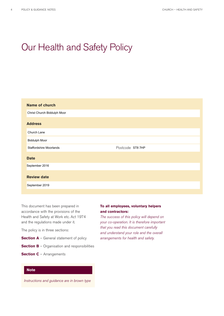## Our Health and Safety Policy

| <b>Name of church</b>          |                  |
|--------------------------------|------------------|
| Christ Church Biddulph Moor    |                  |
| <b>Address</b>                 |                  |
| Church Lane                    |                  |
| <b>Biddulph Moor</b>           |                  |
|                                |                  |
| <b>Staffordshire Moorlands</b> | Postcode ST8 7HP |
| <b>Date</b>                    |                  |
| September 2016                 |                  |
| <b>Review date</b>             |                  |

This document has been prepared in accordance with the provisions of the Health and Safety at Work etc. Act 1974 and the regulations made under it.

The policy is in three sections:

- **Section A** General statement of policy
- **Section B** Organisation and responsibilities
- **Section C** Arrangements

#### **Note**

Instructions and guidance are in brown type

#### **To all employees, voluntary helpers and contractors:**

The success of this policy will depend on your co-operation. It is therefore important that you read this document carefully and understand your role and the overall arrangements for health and safety.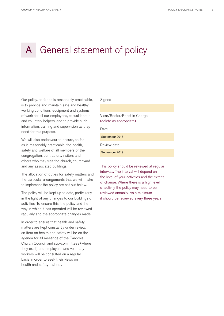## A General statement of policy

Our policy, so far as is reasonably practicable, is to provide and maintain safe and healthy working conditions, equipment and systems of work for all our employees, casual labour and voluntary helpers, and to provide such information, training and supervision as they need for this purpose.

We will also endeavour to ensure, so far as is reasonably practicable, the health, safety and welfare of all members of the congregation, contractors, visitors and others who may visit the church, churchyard and any associated buildings.

The allocation of duties for safety matters and the particular arrangements that we will make to implement the policy are set out below.

The policy will be kept up to date, particularly in the light of any changes to our buildings or activities. To ensure this, the policy and the way in which it has operated will be reviewed regularly and the appropriate changes made.

In order to ensure that health and safety matters are kept constantly under review, an item on health and safety will be on the agenda for all meetings of the Parochial Church Council, and sub-committees (where they exist) and employees and voluntary workers will be consulted on a regular basis in order to seek their views on health and safety matters.

#### **Signed**

Vicar/Rector/Priest in Charge (delete as appropriate)

Date

September 2016

Review date

September 2019

This policy should be reviewed at regular intervals. The interval will depend on the level of your activities and the extent of change. Where there is a high level of activity the policy may need to be reviewed annually. As a minimum it should be reviewed every three years.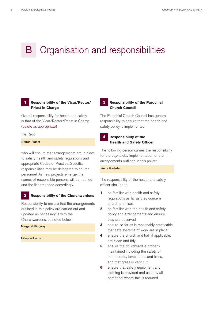## Organisation and responsibilities

#### **Responsibility of the Vicar/Rector/ Priest in Charge 1**

Overall responsibility for health and safety is that of the Vicar/Rector/Priest in Charge (delete as appropriate)

#### the Revd

#### Darren Fraser

who will ensure that arrangements are in place to satisfy health and safety regulations and appropriate Codes of Practice. Specific responsibilities may be delegated to church personnel. As new projects emerge, the names of responsible persons will be notified and the list amended accordingly.

#### **Responsibility of the Churchwardens 2**

Responsibility to ensure that the arrangements outlined in this policy are carried out and updated as necessary is with the Churchwardens, as noted below:

#### Margaret Ridgway

```
Hilary Williams
```
#### **Responsibility of the Parochial Church Council 3**

The Parochial Church Council has general responsibility to ensure that the health and safety policy is implemented.

#### **Responsibility of the Health and Safety Officer 4**

The following person carries the responsibility for the day-to-day implementation of the arrangements outlined in this policy:

#### Anne Gadsden

The responsibility of the health and safety officer shall be to:

- **1** be familiar with health and safety regulations as far as they concern church premises
- **2** be familiar with the health and safety policy and arrangements and ensure they are observed
- **3** ensure so far as is reasonably practicable, that safe systems of work are in place
- **4** ensure the church and hall, if applicable, are clean and tidy
- **5** ensure the churchyard is properly maintained including the safety of monuments, tombstones and trees, and that grass is kept cut
- **6** ensure that safety equipment and clothing is provided and used by all personnel where this is required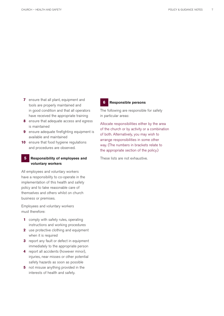- **7** ensure that all plant, equipment and tools are properly maintained and in good condition and that all operators have received the appropriate training
- **8** ensure that adequate access and egress is maintained
- **9** ensure adequate firefighting equipment is available and maintained
- **10** ensure that food hygiene regulations and procedures are observed.

#### **Responsibility of employees and voluntary workers 5**

All employees and voluntary workers have a responsibility to co-operate in the implementation of this health and safety policy and to take reasonable care of themselves and others whilst on church business or premises.

Employees and voluntary workers must therefore:

- **1** comply with safety rules, operating instructions and working procedures
- **2** use protective clothing and equipment when it is required
- **3** report any fault or defect in equipment immediately to the appropriate person
- **4** report all accidents (however minor), injuries, near misses or other potential safety hazards as soon as possible
- **5** not misuse anything provided in the interests of health and safety.

#### **Responsible persons 6**

The following are responsible for safety in particular areas:

Allocate responsibilities either by the area of the church or by activity or a combination of both. Alternatively, you may wish to arrange responsibilities in some other way. (The numbers in brackets relate to the appropriate section of the policy.)

These lists are not exhaustive.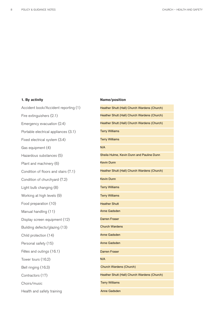#### **1. By activity**

Accident book/Accident reporting (1) Fire extinguishers (2.1) Emergency evacuation (2.4) Portable electrical appliances (3.1) Fixed electrical system (3.4) Gas equipment (4) Hazardous substances (5) Plant and machinery (6) Condition of floors and stairs (7.1) Condition of churchyard (7.2) Light bulb changing (8) Working at high levels (9) Food preparation (10) Manual handling (11) Display screen equipment (12) Building defects/glazing (13) Child protection (14) Personal safety (15) Fêtes and outings (16.1) Tower tours (16.2) Bell ringing (16.3) Contractors (17) Choirs/music Health and safety training

#### **Name/position**

| Heather Shutt (Hall) Church Wardens (Church) |
|----------------------------------------------|
| Heather Shutt (Hall) Church Wardens (Church) |
| Heather Shutt (Hall) Church Wardens (Church) |
| <b>Terry Williams</b>                        |
| <b>Terry Williams</b>                        |
| N/A                                          |
| Sheila Hulme, Kevin Dunn and Pauline Dunn    |
| <b>Kevin Dunn</b>                            |
| Heather Shutt (Hall) Church Wardens (Church) |
| <b>Kevin Dunn</b>                            |
| <b>Terry Williams</b>                        |
| <b>Terry Williams</b>                        |
| <b>Heather Shutt</b>                         |
| <b>Anne Gadsden</b>                          |
| <b>Darren Fraser</b>                         |
| <b>Church Wardens</b>                        |
| <b>Anne Gadsden</b>                          |
| <b>Anne Gadsden</b>                          |
| <b>Darren Fraser</b>                         |
| N/A                                          |
| Church Wardens (Church)                      |
| Heather Shutt (Hall) Church Wardens (Church) |
| <b>Terry Williams</b>                        |
| Anne Gadsden                                 |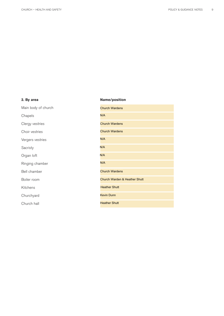#### **2. By area**

Main body of church Chapels Clergy vestries Choir vestries Vergers vestries Sacristy Organ loft Ringing chamber Bell chamber Boiler room Kitchens Churchyard

Church hall

#### **Name/position**

| <b>Church Wardens</b>         |
|-------------------------------|
| N/A                           |
| <b>Church Wardens</b>         |
| <b>Church Wardens</b>         |
| N/A                           |
| N/A                           |
| N/A                           |
| N/A                           |
| <b>Church Wardens</b>         |
| Church Warden & Heather Shutt |
| <b>Heather Shutt</b>          |
| <b>Kevin Dunn</b>             |
| <b>Heather Shutt</b>          |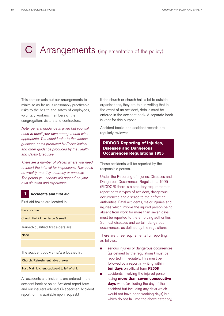# C Arrangements (implementation of the policy)

This section sets out our arrangements to minimise as far as is reasonably practicable risks to the health and safety of employees, voluntary workers, members of the congregation, visitors and contractors.

Note: general guidance is given but you will need to detail your own arrangements where appropriate. You should refer to the various guidance notes produced by Ecclesiastical and other guidance produced by the Health and Safety Executive.

There are a number of places where you need to insert the interval for inspections. This could be weekly, monthly, quarterly or annually. The period you choose will depend on your own situation and experience.

#### **Accidents and first aid 1**

First aid boxes are located in:

Back of church

Church Hall kitchen large & small

Trained/qualified first aiders are:

None

The accident book(s) is/are located in:

Church; Refreshment table drawer

Hall; Main kitchen, cupboard to left of sink

All accidents and incidents are entered in the accident book or on an Accident report form and our insurers advised. (A specimen Accident report form is available upon request.)

If the church or church hall is let to outside organisations, they are told in writing that in the event of an accident, details must be entered in the accident book. A separate book is kept for this purpose.

Accident books and accident records are regularly reviewed.

#### **RIDDOR Reporting of Injuries, Diseases and Dangerous Occurrences Regulations 1995**

These accidents will be reported by the responsible person.

Under the Reporting of Injuries, Diseases and Dangerous Occurrences Regulations 1995 (RIDDOR) there is a statutory requirement to report certain types of accident, dangerous occurrences and disease to the enforcing authorities. Fatal accidents, major injuries and injuries which involve the injured person being absent from work for more than seven days must be reported to the enforcing authorities. So must diseases and certain dangerous occurrences, as defined by the regulations.

There are three requirements for reporting, as follows:

- serious injuries or dangerous occurrences (as defined by the regulations) must be reported immediately. This must be followed by a report in writing within **ten days** on official form **F2508**
- accidents involving the injured person losing **more than seven consecutive days** work (excluding the day of the accident but including any days which would not have been working days) but which do not fall into the above category,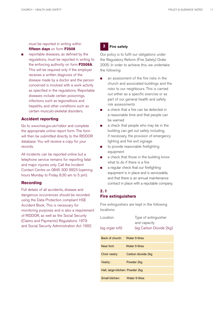must be reported in writing within **fifteen days** on form **F2508**

 $\Box$  reportable diseases, as defined by the regulations, must be reported in writing to the enforcing authority on form **F2508A**. This will be required only if the employer receives a written diagnosis of the disease made by a doctor and the person concerned is involved with a work activity as specified in the regulations. Reportable diseases include certain poisonings, infections such as legionellosis and hepatitis, and other conditions such as certain musculo-skeletal disorders.

#### **Accident reporting**

Go to www.hse.gov.uk/riddor and complete the appropriate online report form. The form will then be submitted directly to the RIDDOR database. You will receive a copy for your records.

All incidents can be reported online but a telephone service remains for reporting fatal and major injuries only. Call the Incident Contact Centre on 0845 300 9923 (opening hours Monday to Friday 8.30 am to 5 pm).

#### **Recording**

Full details of all accidents, disease and dangerous occurrences should be recorded using the Data Protection compliant HSE Accident Book. This is necessary for monitoring purposes and is also a requirement of RIDDOR, as well as the Social Security (Claims and Payments) Regulations 1979 and Social Security Administration Act 1992.

#### **Fire safety 2**

Our policy is to fulfil our obligations under the Regulatory Reform (Fire Safety) Order 2005. In order to achieve this, we undertake the following:

- **n** an assessment of the fire risks in the church and associated buildings and the risks to our neighbours. This is carried out either as a specific exercise or as part of our general health and safety risk assessments
- <sup>n</sup> a check that a fire can be detected in a reasonable time and that people can be warned
- **n** a check that people who may be in the building can get out safely including, if necessary, the provision of emergency lighting and fire exit signage
- $\Box$  to provide reasonable firefighting equipment
- a check that those in the building know what to do if there is a fire
- a regular check that our firefighting equipment is in place and is serviceable, and that there is an annual maintenance contract in place with a reputable company.

#### **2.1 Fire extinguishers**

Fire extinguishers are kept in the following locations:

| Location                        | Type of extinguisher<br>and capacity |
|---------------------------------|--------------------------------------|
| (eg organ loft)                 | (eg Carbon Dioxide 2kg)              |
| Back of church:                 | Water 9 litres                       |
| Near font:                      | Water 9 litres                       |
| Choir vestry:                   | Carbon dioxide 2kg                   |
| Vestry:                         | Powder 2kg                           |
| Hall, large kitchen: Powder 2kg |                                      |
| Small kitchen:                  | Water 9 litres                       |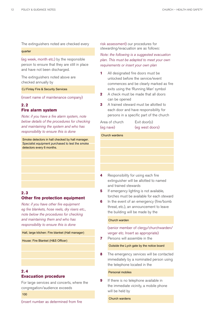The extinguishers noted are checked every

#### quarter

(eg week, month etc.) by the responsible person to ensure that they are still in place and have not been discharged.

The extinguishers noted above are checked annually by

CJ Finlay Fire & Security Services

(insert name of maintenance company)

### **2. 2 Fire alarm system**

Note: if you have a fire alarm system, note below details of the procedures for checking and maintaining the system and who has responsibility to ensure this is done

Smoke detectors in hall checked by hall manager. Specialist equipment purchased to test the smoke detectors every 6 months.

#### **2. 3 Other fire protection equipment**

Note: if you have other fire equipment eg fire blankets, hose reels, dry risers etc., note below the procedures for checking and maintaining them and who has responsibility to ensure this is done

#### Hall, large kitchen: Fire blanket (Hall manager)

House: Fire Blanket (H&S Officer)

### **2. 4 Evacuation procedure**

For large services and concerts, where the congregation/audience exceeds

#### 100

(insert number as determined from fire

risk assessment) our procedures for stewarding/evacuation are as follows:

Note: the following is a suggested evacuation plan. This must be adapted to meet your own requirements or insert your own plan

- **1** All designated fire doors must be unlocked before the service/event commences and be clearly marked as fire exits using the 'Running Man' symbol
- **2** A check must be made that all doors can be opened
- **3** A trained steward must be allotted to each door and have responsibility for persons in a specific part of the church

| Area of church |  |
|----------------|--|
| (eg nave)      |  |

 $Exit door(s)$ (eg nave) (eg west doors)

#### Church wardens

- **4** Responsibility for using each fire extinguisher will be allotted to named and trained stewards
- **5** If emergency lighting is not available, torches must be available for each steward
- **6** In the event of an emergency (fire/bomb threat, etc.), an announcement to leave the building will be made by the

#### Church warden

(senior member of clergy/churchwarden/ verger etc. Insert as appropriate)

- **7** Persons will assemble in the Outside the Lych gate by the notice board
- **8** The emergency services will be contacted immediately by a nominated person using the telephone located in the

#### Personal mobiles

**9** If there is no telephone available in the immediate vicinity, a mobile phone will be held by

Church wardens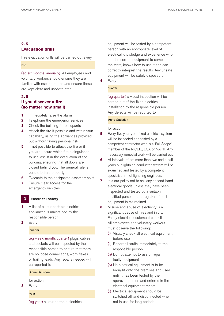#### **2. 5 Evacuation drills**

Fire evacuation drills will be carried out every

#### N/A

(eg six months, annually). All employees and voluntary workers should ensure they are familiar with escape routes and ensure these are kept clear and unobstructed.

#### **2. 6 If you discover a fire (no matter how small)**

- **1** Immediately raise the alarm
- **2** Telephone the emergency services
- **3** Check the building for occupants
- **4** Attack the fire if possible and within your capability, using the appliances provided, but without taking personal risk
- **5** If not possible to attack the fire or if you are unsure which fire extinguisher to use, assist in the evacuation of the building, ensuring that all doors are closed behind you. The general rule is people before property
- **6** Evacuate to the designated assembly point
- **7** Ensure clear access for the emergency vehicles

#### **Electrical safety 3**

- **1** A list of all our portable electrical appliances is maintained by the responsible person
- **2** Every

#### quarter

(eg week, month, quarter) plugs, cables and sockets will be inspected by the responsible person to ensure that there are no loose connections, worn flexes or trailing leads. Any repairs needed will be reported to

#### Anne Gadsden

for action

- **3** Every
	- year

(eg year) all our portable electrical

equipment will be tested by a competent person with an appropriate level of electrical knowledge and experience who has the correct equipment to complete the tests, knows how to use it and can correctly interpret the results. Any unsafe equipment will be safely disposed of **4** Every

### quarter

(eg quarter) a visual inspection will be carried out of the fixed electrical installation by the responsible person. Any defects will be reported to

#### Anne Gadsden

for action

- **5** Every five years, our fixed electrical system will be inspected and tested by a competent contractor who is a 'Full Scope' member of the NICEIC, ECA or NAPIT. Any necessary remedial work will be carried out
- **6** At intervals of not more than two and a half years our lightning conductor system will be examined and tested by a competent specialist firm of lightning engineers
- **7** It is our policy not to sell any second-hand electrical goods unless they have been inspected and tested by a suitably qualified person and a register of such equipment is maintained
- **8** Misuse and abuse of electricity is a significant cause of fires and injury. Faulty electrical equipment can kill. All employees and voluntary workers must observe the following:
	- (i) Visually check all electrical equipment before use
	- (ii) Report all faults immediately to the responsible person
	- (iii) Do not attempt to use or repair faulty equipment
	- (iv) No electrical equipment is to be brought onto the premises and used until it has been tested by the approved person and entered in the electrical equipment record
	- (v) Electrical equipment should be switched off and disconnected when not in use for long periods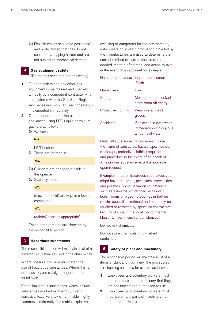(vi) Flexible cables should be positioned and protected so that they do not constitute a tripping hazard and are not subject to mechanical damage

#### **Gas equipment safety** (Delete this section if not applicable) **4**

- **1** Our gas boilers and any other gas equipment is maintained and checked annually by a competent contractor who is registered with the Gas Safe Register. Any necessary work required for safety is implemented immediately
- **2** Our arrangements for the use of appliances using LPG (liquid petroleum gas) are as follows:
	- (i) We have

LPG heaters N/A<br>LP(<br>The<br>N/A

(ii) These are located in

- (iii) Cylinders are changed outside in the open air
- (iv) Spare cylinders

#### N/A

(maximum held) are kept in a locked compound

#### N/A

#### (delete/insert as appropriate).

These arrangements are checked by the responsible person.

#### **Hazardous substances 5**

The responsible person will maintain a list of all hazardous substances used in the church/hall.

Where possible, we have eliminated the use of hazardous substances. Where this is not possible, our safety arrangements are as follows:

For all hazardous substances, which include substances marked as 'harmful, irritant, corrosive, toxic, very toxic, flammable, highly flammable, extremely flammable, explosive,

oxidising or dangerous for the environment', data sheets or product information provided by the manufacturers are used to determine the correct method of use, protective clothing needed, method of storage, and action to take in the event of an accident for example

| Name of substance:   | Liquid floor cleaner<br>'Flash'                                           |
|----------------------|---------------------------------------------------------------------------|
| Hazard level:        | l ow                                                                      |
| Storage:             | Must be kept in locked<br>store room off vestry                           |
| Protective clothing: | Wear overalls and<br>gloves                                               |
| Accidents:           | If splashed in eyes wash<br>immediately with copious<br>amounts of water. |

Detail all substances, noting in each case the name of substance, hazard type, method of storage, protective clothing required and procedure in the event of an accident. A hazardous substance record is available upon request.

Examples of other hazardous substances you might have are: petrol, pesticides, insecticides and polishes. Some hazardous substances, such as asbestos, which may be found in boiler rooms or pigeon droppings in belfries, require specialist treatment and must only be touched or removed by specialist contractors. (You must consult the local Environmental Health Officer in such circumstances.)

Do not mix chemicals.

Do not store chemicals in unmarked containers.

#### **Safety of plant and machinery 6**

The responsible person will maintain a list of all items of plant and machinery. The procedures for checking and rules for use are as follows:

- **1** Employees and voluntary workers must not operate plant or machinery that they are not trained and authorised to use
- **2** Employees and voluntary workers must not ride on any parts of machinery not intended for that use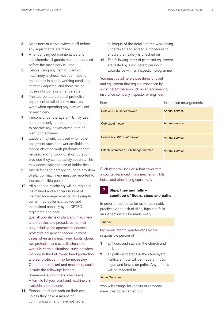- **3** Machinery must be switched off before any adjustments are made
- **4** After carrying out maintenance and adjustments, all guards must be replaced before the machinery is used
- **5** Before using any item of plant or machinery, a check must be made to ensure it is in a safe working condition, correctly adjusted, and there are no loose nuts, bolts or other defects
- **6** The appropriate personal protective equipment detailed below must be worn when operating any item of plant or machinery
- **7** Persons under the age of 18 may use hand tools only and are not permitted to operate any power driven item of plant or machinery
- **8** Ladders may only be used when other equipment such as tower scaffolds or mobile elevated work platforms cannot be used and for work of short duration provided they can be safely secured. This may necessitate the use of ladder ties
- **9** Any defect and damage found to any item of plant or machinery must be reported to the responsible person
- **10** All plant and machinery will be regularly maintained and a schedule kept of maintenance requirements, for example, our oil fired boiler is checked and maintained annually by an OFTEC registered engineer.

(List all your items of plant and machinery and the rules and procedures for their use, including the appropriate personal protective equipment needed. In most cases when using machinery, boots, gloves, eye protection and overalls should be worn.) In certain situations, such as when working in the bell tower, head protection and ear protection may be necessary. Other items of plant and machinery could include the following: ladders, lawnmowers, strimmers, chainsaws. A form to list your plant and machinery is available upon request.

**11** Persons must not work on their own unless they have a means of communication and have notified a

colleague of the details of the work being undertaken and agreed a procedure to ensure their safety is checked on

**12** The following items of plant and equipment are tested by a competent person in accordance with an inspection programme.

You must detail here those items of plant and equipment that require inspection by a competent person such as an engineering insurance company inspector or engineer.

| <b>Item</b>                            | Inspection arrangements |
|----------------------------------------|-------------------------|
| Ride on Cub Cadet Mower                | <b>Annual service</b>   |
| Cub cadet mower                        | <b>Annual service</b>   |
| Honda IZY 16" & 24" mower              | <b>Annual service</b>   |
| Hitachi strimmer & Stihl hedge trimmer | <b>Annual service</b>   |

Such items will include a font cover with a counter-balanced lifting mechanism, lifts, hoists and other lifting equipment.

### **Slips, trips and falls – condition of floors, steps and paths**

In order to reduce as far as is reasonably practicable the risk of slips, trips and falls, an inspection will be made every

#### quarter

**7**

(eg week, month, quarter etc.) by the responsible person of

- **1** all floors and stairs in the church and hall, and
- **2** all paths and steps in the churchyard. Particular note will be made of moss, algae and leaves on paths. Any defects will be reported to

#### Anne Gadsden

who will arrange for repairs or remedial measures to be carried out.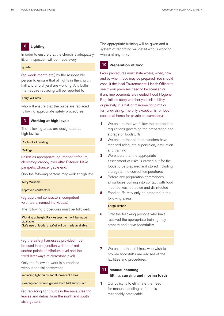#### **Lighting 8**

In order to ensure that the church is adequately lit, an inspection will be made every

#### quarter

(eg week, month etc.) by the responsible person to ensure that all lights in the church, hall and churchyard are working. Any bulbs that require replacing will be reported to

#### Terry Williams

who will ensure that the bulbs are replaced following appropriate safety procedures.

#### **Working at high levels 9**

The following areas are designated as high levels:

#### Roofs of all building

#### **Ceilings**

(Insert as appropriate, eg Interior: triforium, clerestory, canopy over altar Exterior: Nave parapets, Chancel gable end)

Only the following persons may work at high level

#### Terry Williams

#### Approved contractors

(eg approved contractors, competent volunteers, named individuals)

The following procedures must be followed:

Working at height Risk Assessment will be made available

(eg the safety harnesses provided must be used in conjunction with the fixed anchor points at triforium level and the fixed latchways at clerestory level) Safe use of ladders leaflet will be made available<br>(eg the safety harnesses provided must<br>be used in conjunction with the fixed<br>anchor points at triforium level and the<br>lixed latchways at clerestory level)<br>Only the followi

Only the following work is authorised without special agreement:

clearing debris from gutters both hall and church

(eg replacing light bulbs in the nave, clearing leaves and debris from the north and south aisle gutters.)

The appropriate training will be given and a system of recording will detail who is working where at any time.

#### **Preparation of food 10**

(Your procedures must state where, when, how and by whom food may be prepared. You should consult the local Environmental Health Officer to see if your premises need to be licensed or if any improvements are needed. Food Hygiene Regulations apply whether you sell publicly or privately, in a hall or marquee, for profit or for fund-raising. The only exception is for food cooked at home for private consumption.)

- **1** We ensure that we follow the appropriate regulations governing the preparation and storage of foodstuffs
- **2** We ensure that all food handlers have received adequate supervision, instruction and training
- **3** We ensure that the appropriate assessment of risks is carried out for the foods to be prepared and stored including storage at the correct temperatures
- **4** Before any preparation commences, all surfaces coming into contact with food must be washed down and disinfected
- **5** Food stuffs may only be prepared in the following areas:

#### Large kitchen

- **6** Only the following persons who have received the appropriate training may prepare and serve foodstuffs:
- **7** We ensure that all hirers who wish to provide foodstuffs are advised of the facilities and procedures.

#### **Manual handling – lifting, carrying and moving loads 11**

**1** Our policy is to eliminate the need for manual handling as far as is reasonably practicable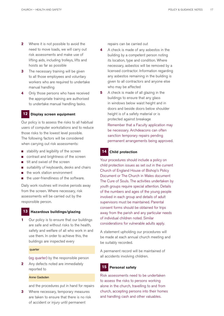- **2** Where it is not possible to avoid the need to move loads, we will carry out risk assessments and make use of lifting aids, including trolleys, lifts and hoists as far as possible
- **3** The necessary training will be given to all those employees and voluntary workers who are required to undertake manual handling
- **4** Only those persons who have received the appropriate training are authorised to undertake manual handling tasks.

#### **Display screen equipment 12**

Our policy is to assess the risks to all habitual users of computer workstations and to reduce those risks to the lowest level possible. The following factors will be considered when carrying out risk assessments:

- stability and legibility of the screen
- contrast and brightness of the screen
- tilt and swivel of the screen
- suitability of keyboards, desks and chairs
- $\blacksquare$  the work station environment
- the user-friendliness of the software.

Daily work routines will involve periods away from the screen. Where necessary, risk assessments will be carried out by the responsible person.

#### **Hazardous buildings/glazing 13**

**1** Our policy is to ensure that our buildings are safe and without risks to the health, safety and welfare of all who work in and use them. In order to achieve this, the buildings are inspected every

#### quarter

(eg quarter) by the responsible person

**2** Any defects noted are immediately reported to

#### Anne Gadsden

and the procedures put in hand for repairs

**3** Where necessary, temporary measures are taken to ensure that there is no risk of accident or injury until permanent

repairs can be carried out

- **4** A check is made of any asbestos in the building by a competent person noting its location, type and condition. Where necessary, asbestos will be removed by a licensed contractor. Information regarding any asbestos remaining in the building is given to all contractors and anyone else who may be affected
- **5** A check is made of all glazing in the buildings to ensure that any glass in windows below waist height and in doors and beside doors below shoulder height is of a safety material or is protected against breakage Remember that a Faculty application may be necessary. Archdeacons can often sanction temporary repairs pending permanent arrangements being approved.

#### **Child protection 14**

Your procedures should include a policy on child protection issues as set out in the current Church of England House of Bishop's Policy Document or The Church in Wales document The Cure of Souls. The activities undertaken by youth groups require special attention. Details of the numbers and ages of the young people involved in each group and details of adult supervisors must be maintained. Parental consent forms should be obtained for trips away from the parish and any particular needs of individual children noted. Similar considerations for vulnerable adults apply.

A statement upholding our procedures will be made at each annual church meeting and be suitably recorded.

A permanent record will be maintained of all accidents involving children.

#### **Personal safety 15**

Risk assessments need to be undertaken to assess the risks to persons working alone in the church, travelling to and from church, accepting persons into their homes and handling cash and other valuables.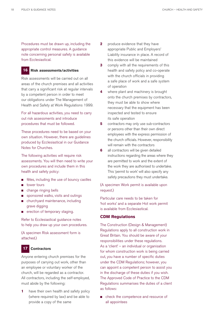Procedures must be drawn up, including the appropriate control measures. A guidance note concerning personal safety is available from Ecclesiastical.

#### **Risk assessments/activities 16**

Risk assessments will be carried out on all areas of the church premises and all activities that carry a significant risk at regular intervals by a competent person in order to meet our obligations under The Management of Health and Safety at Work Regulations 1999.

For all hazardous activities, you need to carry out risk assessments and introduce procedures that must be followed.

These procedures need to be based on your own situation. However, there are guidelines produced by Ecclesiastical in our Guidance Notes for Churches.

The following activities will require risk assessments. You will then need to write your own procedures and include them in this health and safety policy:

- fêtes, including the use of bouncy castles
- tower tours
- change ringing bells
- sponsored walks, visits and outings
- churchyard maintenance, including grave digging
- erection of temporary staging.

Refer to Ecclesiastical guidance notes to help you draw up your own procedures.

(A specimen Risk assessment form is attached.)

#### **Contractors 17**

Anyone entering church premises for the purposes of carrying out work, other than an employee or voluntary worker of the church, will be regarded as a contractor. All contractors, including the self-employed, must abide by the following:

**1** have their own health and safety policy (where required by law) and be able to provide a copy of the same

- **2** produce evidence that they have appropriate Public and Employers' Liability insurance in place. A record of this evidence will be maintained
- **3** comply with all the requirements of this health and safety policy and co-operate with the church officials in providing a safe place of work and a safe system of operation
- **4** where plant and machinery is brought onto the church premises by contractors, they must be able to show where necessary that the equipment has been inspected and tested to ensure its safe operation
- **5** contractors may only use sub-contractors or persons other than their own direct employees with the express permission of the church officials. However, responsibility will remain with the contractors
- **6** all contractors will be given detailed instructions regarding the areas where they are permitted to work and the extent of the work they are authorised to undertake. This 'permit to work' will also specify any safety precautions they must undertake.

(A specimen Work permit is available upon request.)

Particular care needs to be taken for 'hot works' and a separate Hot work permit is available from Ecclesiastical.

#### **CDM Regulations**

The Construction (Design & Management) Regulations apply to all construction work in Great Britain. You should be aware of your responsibilities under these regulations. As a 'client' – an individual or organisation for whom construction work is being carried out, you have a number of specific duties under the CDM Regulations; however, you can appoint a competent person to assist you in the discharge of these duties if you wish. The Approved Code of Practice to the CDM Regulations summarises the duties of a client as follows:

n check the competence and resource of all appointees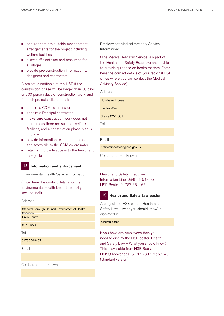- **n** ensure there are suitable management arrangements for the project including welfare facilities
- allow sufficient time and resources for all stages
- **n** provide pre-construction information to designers and contractors.

A project is notifiable to the HSE if the construction phase will be longer than 30 days or 500 person days of construction work, and for such projects, clients must:

- n appoint a CDM co-ordinator
- appoint a Principal contractor
- n make sure construction work does not start unless there are suitable welfare facilities, and a construction phase plan is in place
- $\Box$  provide information relating to the health and safety file to the CDM co-ordinator
- retain and provide access to the health and safety file.

#### **Information and enforcement 18**

Environmental Health Service Information:

(Enter here the contact details for the Environmental Health Department of your local council).

#### Address

Stafford Borough Council Environmental Health Services Civic Centre

Tel

01785 619402

Email

Contact name if known

Employment Medical Advisory Service Information:

(The Medical Advisory Service is a part of the Health and Safety Executive and is able to provide guidance on health matters. Enter here the contact details of your regional HSE office where you can contact the Medical Advisory Service).

Address

Hornbeam House

Electra Way

Crewe CW1 6GJ

Tel

Email

notificationofficer@nse.gov.uk

Contact name if known

Health and Safety Executive Information Line: 0845 345 0055 HSE Books: 01787 881165

#### **Health and Safety Law poster 19**

A copy of the HSE poster 'Health and Safety Law – what you should know' is displayed in

### ST16 3AQ Church porch porch porch porch porch porch porch porch porch porch porch porch porch porch porch porch

If you have any employees then you need to display the HSE poster 'Health and Safety Law – What you should know'. This is available from HSE Books or HMSO bookshops. ISBN 9780717663149 (standard version).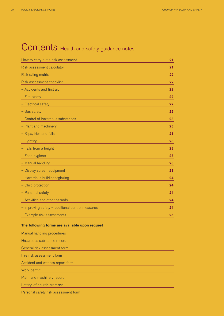## Contents Health and safety guidance notes

| 21 |
|----|
| 21 |
| 22 |
| 22 |
| 22 |
| 22 |
| 22 |
| 22 |
| 23 |
| 23 |
| 23 |
| 23 |
| 23 |
| 23 |
| 23 |
| 23 |
| 24 |
| 24 |
| 24 |
| 24 |
| 24 |
| 25 |
|    |

#### **The following forms are available upon request**

| Manual handling procedures           |
|--------------------------------------|
| Hazardous substance record           |
| General risk assessment form         |
| Fire risk assessment form            |
| Accident and witness report form     |
| Work permit                          |
| Plant and machinery record           |
| Letting of church premises           |
| Personal safety risk assessment form |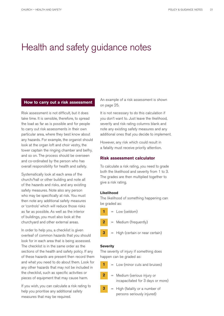## Health and safety guidance notes

#### **How to carry out a risk assessment**

Risk assessment is not difficult, but it does take time. It is sensible, therefore, to spread the load as far as is possible and for people to carry out risk assessments in their own particular area, where they best know about any hazards. For example, the organist should look at the organ loft and choir vestry, the tower captain the ringing chamber and belfry, and so on. The process should be overseen and co-ordinated by the person who has overall responsibility for health and safety.

Systematically look at each area of the church/hall or other building and note all of the hazards and risks, and any existing safety measures. Note also any person who may be specifically at risk. You must then note any additional safety measures or 'controls' which will reduce those risks as far as possible. As well as the interior of buildings, you must also look at the churchyard and other external areas.

In order to help you, a checklist is given overleaf of common hazards that you should look for in each area that is being assessed. The checklist is in the same order as the sections of the health and safety policy. If any of these hazards are present then record them and what you need to do about them. Look for any other hazards that may not be included in the checklist, such as specific activities or pieces of equipment that may cause harm.

If you wish, you can calculate a risk rating to help you prioritise any additional safety measures that may be required.

An example of a risk assessment is shown on page 25.

It is not necessary to do this calculation if you don't want to. Just leave the likelihood, severity and risk rating columns blank and note any existing safety measures and any additional ones that you decide to implement.

However, any risk which could result in a fatality must receive priority attention.

#### **Risk assessment calculator**

To calculate a risk rating, you need to grade both the likelihood and severity from 1 to 3. The grades are then multiplied together to give a risk rating.

#### **Likelihood**

The likelihood of something happening can be graded as:









#### **Severity**

**3**

**3**

**2**

**1**

The severity of injury if something does happen can be graded as:



- = Medium (serious injury or incapacitated for 3 days or more)
- = High (fatality or a number of persons seriously injured)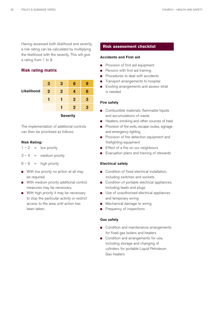Having assessed both likelihood and severity, a risk rating can be calculated by multiplying the likelihood with the severity. This will give a rating from 1 to 9.

#### **Risk rating matrix**

| <b>Likelihood</b> | 3               | 3              | 6            | 9 |  |
|-------------------|-----------------|----------------|--------------|---|--|
|                   | $\overline{2}$  | $\overline{2}$ | 4            | 6 |  |
|                   |                 |                | $\mathbf{2}$ | 3 |  |
|                   |                 | п              | $\mathbf 2$  | 3 |  |
|                   | <b>Severity</b> |                |              |   |  |

The implementation of additional controls can then be prioritised as follows:

#### **Risk Rating:**

 $1 - 2 =$  low priority

 $3 - 4 =$  medium priority

- $6 9$  = high priority
- $\blacksquare$  With low priority no action at all may be required.
- With medium priority additional control measures may be necessary.
- With high priority it may be necessary to stop the particular activity or restrict access to the area until action has been taken.

#### **Risk assessment checklist**

#### **Accidents and First aid**

- **n** Provision of first aid equipment
- **n** Persons with first aid training
- Procedures to deal with accidents
- Transport arrangements to hospital
- **n** Existing arrangements and assess what is needed

#### **Fire safety**

- Combustible materials, flammable liquids and accumulations of waste
- Heaters, smoking and other sources of heat
- **n** Provision of fire exits, escape routes, signage and emergency lighting
- **n** Provision of fire detection equipment and firefighting equipment
- **F** Effect of a fire on our neighbours
- **n** Evacuation plans and training of stewards

#### **Electrical safety**

- Condition of fixed electrical installation, including switches and sockets
- Condition of portable electrical appliances, including leads and plugs
- Use of unauthorised electrical appliances and temporary wiring
- Mechanical damage to wiring
- **n** Frequency of inspections

#### **Gas safety**

- Condition and maintenance arrangements for fixed gas boilers and heaters
- Condition and arrangements for use, including storage and changing of cylinders for portable Liquid Petroleum Gas heaters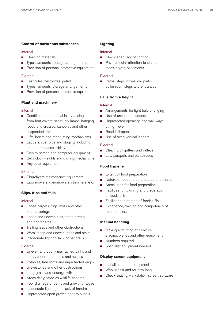#### **Control of hazardous substances**

#### Internal

- Cleaning materials
- Types, amounts, storage arrangements
- Provision of personal protective equipment

#### External

- Pesticides, herbicides, petrol
- Types, amounts, storage arrangements
- **n** Provision of personal protective equipment

#### **Plant and machinery**

#### Internal

- Condition and potential injury arising from font covers, sanctuary lamps, hanging roods and crosses, canopies and other suspended items
- Lifts, hoists and other lifting mechanisms
- Ladders, scaffolds and staging, including storage and accessibility
- Display screen and computer equipment
- Bells, clock weights and chiming mechanisms
- Any other equipment

#### External

- Churchyard maintenance equipment
- Lawnmowers, gangmowers, strimmers, etc.

#### **Slips, trips and falls**

#### Internal

- Loose carpets, rugs, mats and other floor coverings
- **n** Loose and uneven tiles, stone paving and floorboards
- Trailing leads and other obstructions
- **n** Worn, steep and uneven steps and stairs
- $\Box$  Inadequate lighting, lack of handrails

#### External

- **n** Uneven and poorly maintained paths and steps, boiler room steps and access
- Potholes, tree roots and unprotected drops
- Gravestones and other obstructions
- **n** Long grass and undergrowth
- **n** Areas designated as wildlife habitats
- Poor drainage of paths and growth of algae
- n Inadequate lighting and lack of handrails
- Unprotected open graves prior to burials

#### **Lighting**

#### Internal

- Check adequacy of lighting
- Pay particular attention to stairs, steps, crypts, basements

#### External

■ Paths, steps, drives, car parks, boiler room steps and entrances

#### **Falls from a height**

#### Internal

- Arrangements for light bulb changing
- Use of unsecured ladders
- **n** Unprotected openings and walkways at high level
- Rood loft openings
- **n** Use of fixed vertical ladders

#### External

- Clearing of gutters and valleys
- Low parapets and balustrades

#### **Food hygiene**

- Extent of food preparation
- Nature of foods to be prepared and stored
- Areas used for food preparation
- Facilities for washing and preparation of foodstuffs
- Facilities for storage of foodstuffs
- Experience, training and competence of food handlers

#### **Manual handling**

- Moving and lifting of furniture,
- staging, pianos and other equipment Numbers required
- 
- **n** Specialist equipment needed

#### **Display screen equipment**

- List all computer equipment
- $\blacksquare$  Who uses it and for how long
- Check seating, workstation, screen, software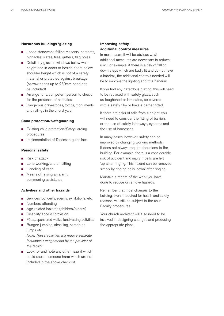#### **Hazardous buildings /glazing**

- Loose stonework, falling masonry, parapets, pinnacles, slates, tiles, gutters, flag poles
- Detail any glass in windows below waist height and in doors or beside doors below shoulder height which is not of a safety material or protected against breakage (narrow panes up to 250mm need not be included)
- Arrange for a competent person to check for the presence of asbestos
- Dangerous gravestones, tombs, monuments and railings in the churchyard

#### **Child protection/Safeguarding**

- Existing child protection/Safeguarding procedures
- Implementation of Diocesan guidelines

#### **Personal safety**

- Risk of attack
- **n** Lone working, church sitting
- Handling of cash
- **n** Means of raising an alarm, summoning assistance

#### **Activities and other hazards**

- Services, concerts, events, exhibitions, etc.
- Numbers attending
- Age-related hazards (children/elderly)
- **n** Disability access/provision
- Fêtes, sponsored walks, fund-raising activities
- Bungee jumping, abseiling, parachute jumps etc.

Note: These activities will require separate insurance arrangements by the provider of the facility

**n** Look for and note any other hazard which could cause someone harm which are not included in the above checklist.

#### **Improving safety – additional control measures**

In most cases, it will be obvious what additional measures are necessary to reduce risk. For example, if there is a risk of falling down steps which are badly lit and do not have a handrail, the additional controls needed will be to improve the lighting and fit a handrail.

If you find any hazardous glazing, this will need to be replaced with safety glass, such as toughened or laminated, be covered with a safety film or have a barrier fitted.

If there are risks of falls from a height, you will need to consider the fitting of barriers or the use of safety latchways, eyebolts and the use of harnesses.

In many cases, however, safety can be improved by changing working methods. It does not always require alterations to the building. For example, there is a considerable risk of accident and injury if bells are left 'up' after ringing. This hazard can be removed simply by ringing bells 'down' after ringing.

Maintain a record of the work you have done to reduce or remove hazards.

Remember that most changes to the building, even if required for health and safety reasons, will still be subject to the usual Faculty procedures.

Your church architect will also need to be involved in designing changes and producing the appropriate plans.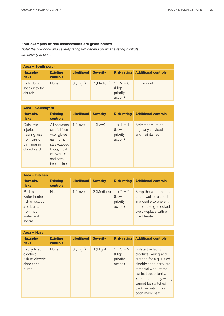### **Four examples of risk assessments are given below:**

Note: the likelihood and severity rating will depend on what existing controls are already in place

| Area - South porch                     |                             |                   |                             |                              |                            |  |
|----------------------------------------|-----------------------------|-------------------|-----------------------------|------------------------------|----------------------------|--|
| Hazards/<br><b>risks</b>               | <b>Existing</b><br>controls | <b>Likelihood</b> | <b>Severity</b>             | <b>Risk rating</b>           | <b>Additional controls</b> |  |
| Falls down<br>steps into the<br>church | None                        | $3$ (High)        | 2 (Medium) $3 \times 2 = 6$ | (High<br>priority<br>action) | Fit handrail               |  |

| Area - Churchyard                                                                     |                                                                                                                                         |                   |                 |                                                 |                                                          |  |
|---------------------------------------------------------------------------------------|-----------------------------------------------------------------------------------------------------------------------------------------|-------------------|-----------------|-------------------------------------------------|----------------------------------------------------------|--|
| Hazards/<br>risks                                                                     | <b>Existing</b><br>controls                                                                                                             | <b>Likelihood</b> | <b>Severity</b> | <b>Risk rating</b>                              | <b>Additional controls</b>                               |  |
| Cuts, eye<br>injuries and<br>hearing loss<br>from use of<br>strimmer in<br>churchyard | All operators<br>use full face<br>visor, gloves,<br>ear muffs,<br>steel-capped<br>boots, must<br>be over 18<br>and have<br>been trained | $1$ (Low)         | $1$ (Low)       | $1 \times 1 = 1$<br>(Low<br>priority<br>action) | Strimmer must be<br>regularly serviced<br>and maintained |  |

| Area - Kitchen                                                                                    |                                    |                   |                             |                             |                                                                                                                                              |  |
|---------------------------------------------------------------------------------------------------|------------------------------------|-------------------|-----------------------------|-----------------------------|----------------------------------------------------------------------------------------------------------------------------------------------|--|
| Hazards/<br>risks                                                                                 | <b>Existing</b><br><b>controls</b> | <b>Likelihood</b> | <b>Severity</b>             | <b>Risk rating</b>          | <b>Additional controls</b>                                                                                                                   |  |
| Portable hot<br>water heater $-$<br>risk of scalds<br>and burns<br>from hot<br>water and<br>steam | None                               | $1$ (Low)         | 2 (Medium) $1 \times 2 = 2$ | (Low<br>priority<br>action) | Strap the water heater<br>to the wall or place it<br>in a cradle to prevent<br>it from being knocked<br>over. Replace with a<br>fixed heater |  |

| Area - Nave                                                                    |                                    |                   |                 |                                                  |                                                                                                                                                                                                                                                 |  |
|--------------------------------------------------------------------------------|------------------------------------|-------------------|-----------------|--------------------------------------------------|-------------------------------------------------------------------------------------------------------------------------------------------------------------------------------------------------------------------------------------------------|--|
| Hazards/<br>risks                                                              | <b>Existing</b><br><b>controls</b> | <b>Likelihood</b> | <b>Severity</b> | <b>Risk rating</b>                               | <b>Additional controls</b>                                                                                                                                                                                                                      |  |
| <b>Faulty fixed</b><br>$electrics -$<br>risk of electric<br>shock and<br>burns | None                               | 3(High)           | 3(High)         | $3 \times 3 = 9$<br>(High<br>priority<br>action) | Isolate the faulty<br>electrical wiring and<br>arrange for a qualified<br>electrician to carry out<br>remedial work at the<br>earliest opportunity.<br>Ensure the faulty wiring<br>cannot be switched<br>back on until it has<br>been made safe |  |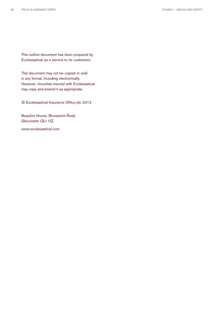This outline document has been prepared by Ecclesiastical as a service to its customers.

This document may not be copied or sold in any format, including electronically. However, churches insured with Ecclesiastical may copy and amend it as appropriate.

© Ecclesiastical Insurance Office plc 2013

Beaufort House, Brunswick Road, Gloucester GL1 1JZ.

www.ecclesiastical.com